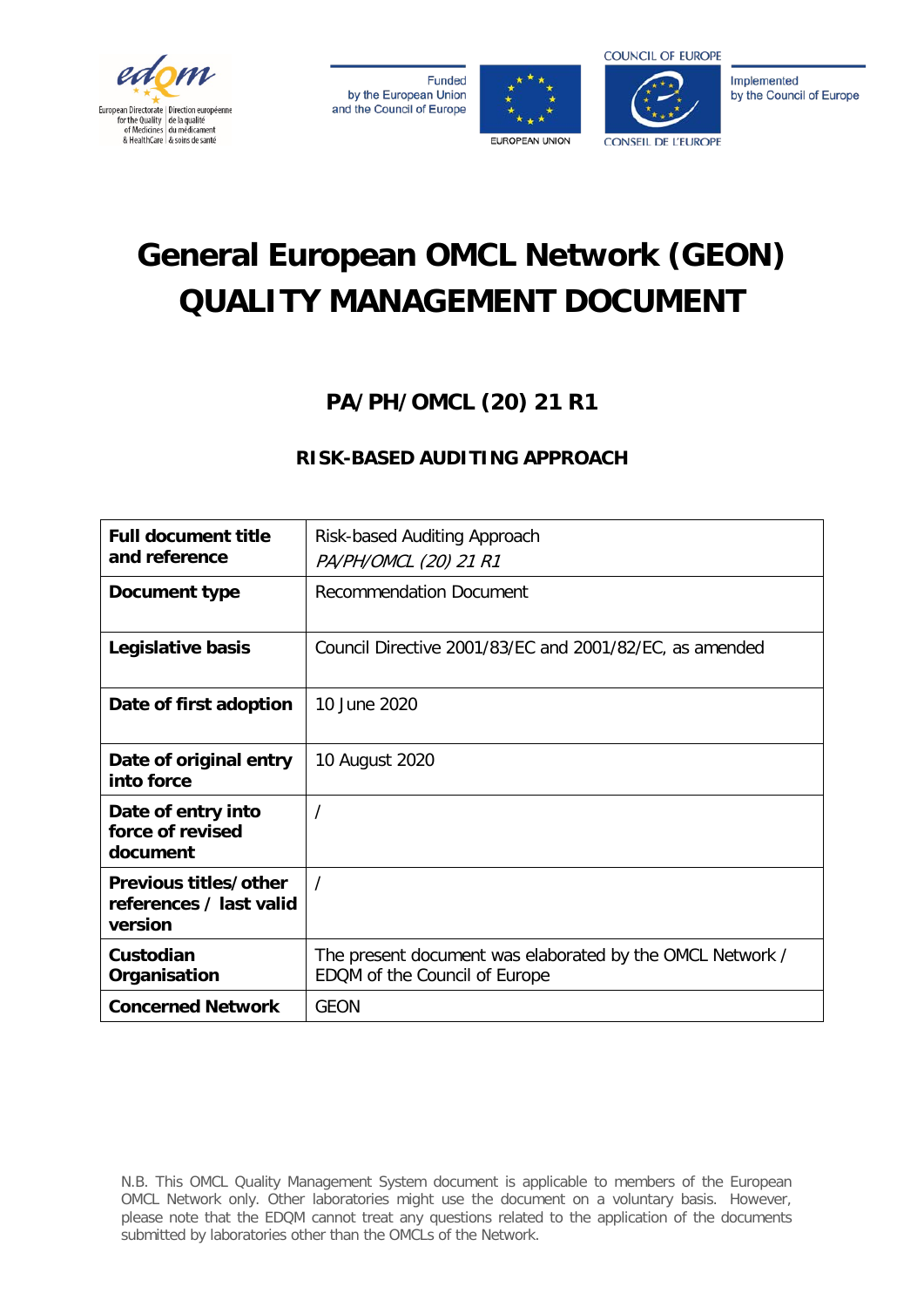

**Funded** by the European Union and the Council of Europe





Implemented by the Council of Europe

# **General European OMCL Network (GEON) QUALITY MANAGEMENT DOCUMENT**

## **PA/PH/OMCL (20) 21 R1**

### **RISK-BASED AUDITING APPROACH**

| <b>Full document title</b><br>and reference                 | Risk-based Auditing Approach<br>PA/PH/OMCL (20) 21 R1                                      |  |
|-------------------------------------------------------------|--------------------------------------------------------------------------------------------|--|
| Document type                                               | <b>Recommendation Document</b>                                                             |  |
| Legislative basis                                           | Council Directive 2001/83/EC and 2001/82/EC, as amended                                    |  |
| Date of first adoption                                      | 10 June 2020                                                                               |  |
| Date of original entry<br>into force                        | 10 August 2020                                                                             |  |
| Date of entry into<br>force of revised<br>document          | /                                                                                          |  |
| Previous titles/other<br>references / last valid<br>version | $\prime$                                                                                   |  |
| Custodian<br>Organisation                                   | The present document was elaborated by the OMCL Network /<br>EDQM of the Council of Europe |  |
| <b>Concerned Network</b>                                    | <b>GEON</b>                                                                                |  |

N.B. This OMCL Quality Management System document is applicable to members of the European OMCL Network only. Other laboratories might use the document on a voluntary basis. However, please note that the EDQM cannot treat any questions related to the application of the documents submitted by laboratories other than the OMCLs of the Network.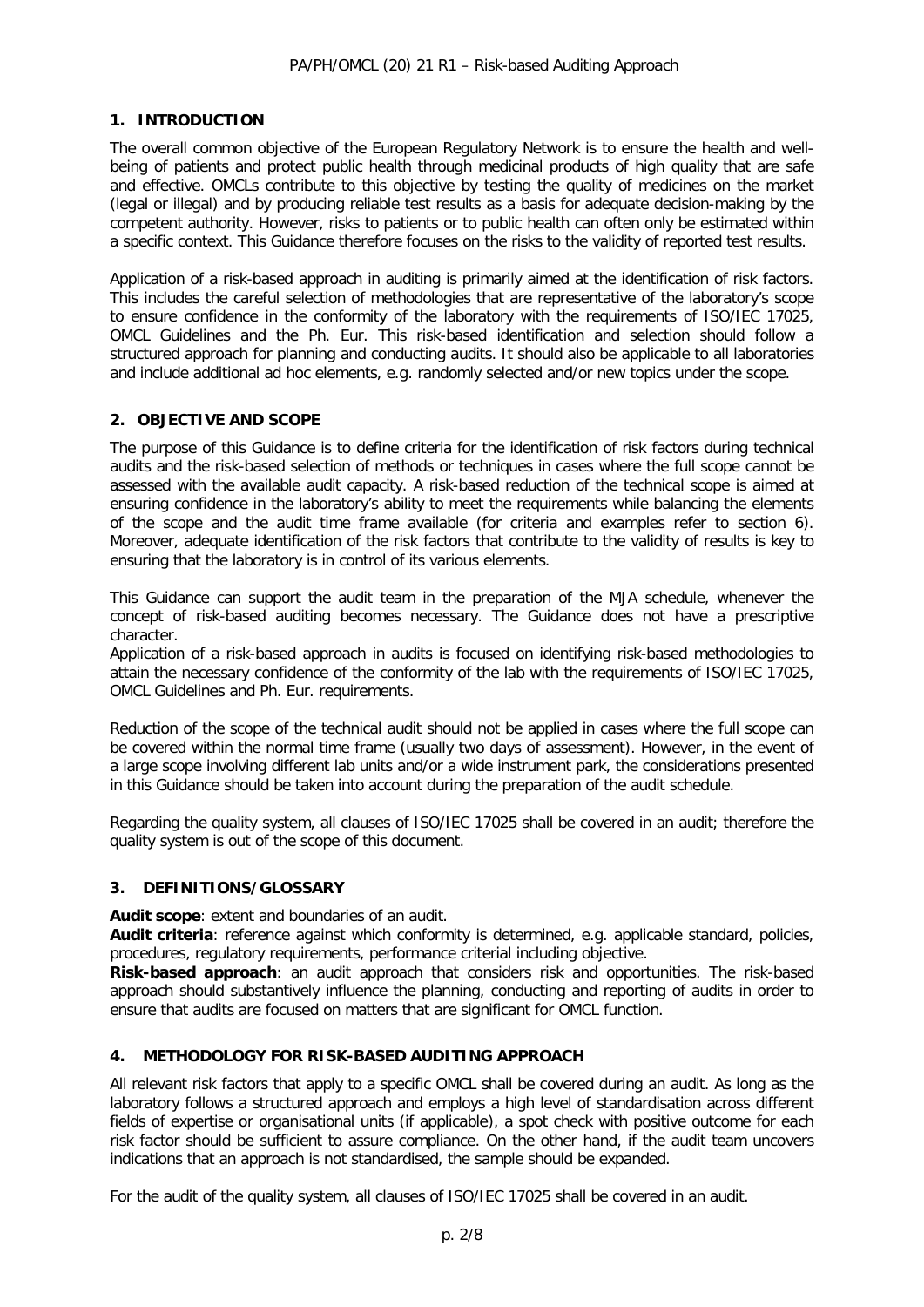#### **1. INTRODUCTION**

The overall common objective of the European Regulatory Network is to ensure the health and wellbeing of patients and protect public health through medicinal products of high quality that are safe and effective. OMCLs contribute to this objective by testing the quality of medicines on the market (legal or illegal) and by producing reliable test results as a basis for adequate decision-making by the competent authority. However, risks to patients or to public health can often only be estimated within a specific context. This Guidance therefore focuses on the risks to the validity of reported test results.

Application of a risk-based approach in auditing is primarily aimed at the identification of risk factors. This includes the careful selection of methodologies that are representative of the laboratory's scope to ensure confidence in the conformity of the laboratory with the requirements of ISO/IEC 17025, OMCL Guidelines and the Ph. Eur. This risk-based identification and selection should follow a structured approach for planning and conducting audits. It should also be applicable to all laboratories and include additional ad hoc elements, e.g. randomly selected and/or new topics under the scope.

#### **2. OBJECTIVE AND SCOPE**

The purpose of this Guidance is to define criteria for the identification of risk factors during technical audits and the risk-based selection of methods or techniques in cases where the full scope cannot be assessed with the available audit capacity. A risk-based reduction of the technical scope is aimed at ensuring confidence in the laboratory's ability to meet the requirements while balancing the elements of the scope and the audit time frame available (for criteria and examples refer to section 6). Moreover, adequate identification of the risk factors that contribute to the validity of results is key to ensuring that the laboratory is in control of its various elements.

This Guidance can support the audit team in the preparation of the MJA schedule, whenever the concept of risk-based auditing becomes necessary. The Guidance does not have a prescriptive character.

Application of a risk-based approach in audits is focused on identifying risk-based methodologies to attain the necessary confidence of the conformity of the lab with the requirements of ISO/IEC 17025, OMCL Guidelines and Ph. Eur. requirements.

Reduction of the scope of the technical audit should not be applied in cases where the full scope can be covered within the normal time frame (usually two days of assessment). However, in the event of a large scope involving different lab units and/or a wide instrument park, the considerations presented in this Guidance should be taken into account during the preparation of the audit schedule.

Regarding the quality system, all clauses of ISO/IEC 17025 shall be covered in an audit; therefore the quality system is out of the scope of this document.

#### **3. DEFINITIONS/GLOSSARY**

**Audit scope**: extent and boundaries of an audit.

**Audit criteria**: reference against which conformity is determined, e.g. applicable standard, policies, procedures, regulatory requirements, performance criterial including objective.

**Risk-based approach**: an audit approach that considers risk and opportunities. The risk-based approach should substantively influence the planning, conducting and reporting of audits in order to ensure that audits are focused on matters that are significant for OMCL function.

#### **4. METHODOLOGY FOR RISK-BASED AUDITING APPROACH**

All relevant risk factors that apply to a specific OMCL shall be covered during an audit. As long as the laboratory follows a structured approach and employs a high level of standardisation across different fields of expertise or organisational units (if applicable), a spot check with positive outcome for each risk factor should be sufficient to assure compliance. On the other hand, if the audit team uncovers indications that an approach is not standardised, the sample should be expanded.

For the audit of the quality system, all clauses of ISO/IEC 17025 shall be covered in an audit.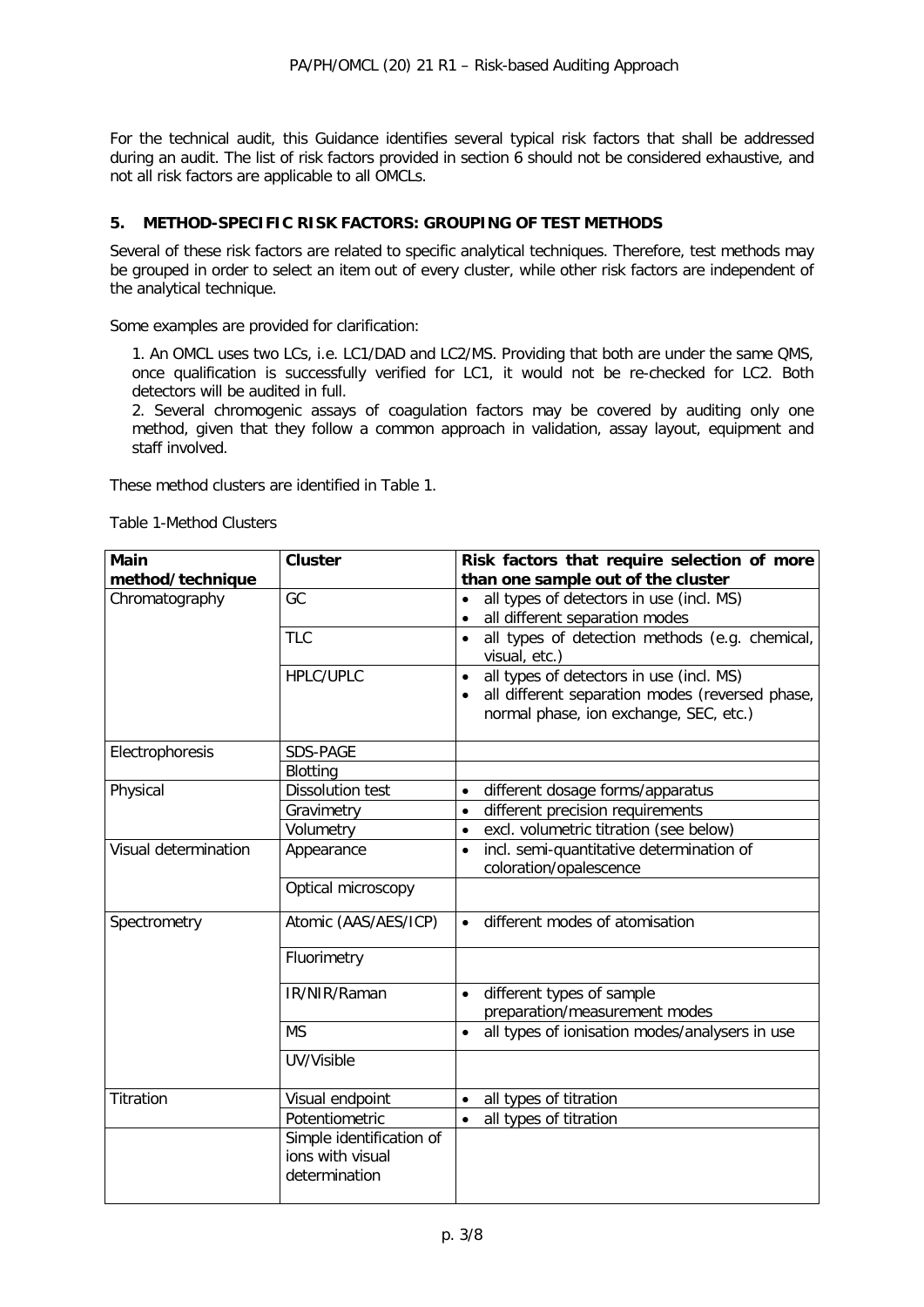For the technical audit, this Guidance identifies several typical risk factors that shall be addressed during an audit. The list of risk factors provided in section 6 should not be considered exhaustive, and not all risk factors are applicable to all OMCLs.

#### **5. METHOD-SPECIFIC RISK FACTORS: GROUPING OF TEST METHODS**

Several of these risk factors are related to specific analytical techniques. Therefore, test methods may be grouped in order to select an item out of every cluster, while other risk factors are independent of the analytical technique.

Some examples are provided for clarification:

1. An OMCL uses two LCs, i.e. LC1/DAD and LC2/MS. Providing that both are under the same QMS, once qualification is successfully verified for LC1, it would not be re-checked for LC2. Both detectors will be audited in full.

2. Several chromogenic assays of coagulation factors may be covered by auditing only one method, given that they follow a common approach in validation, assay layout, equipment and staff involved.

These method clusters are identified in Table 1.

Table 1-Method Clusters

| <b>Main</b>          | <b>Cluster</b>           | Risk factors that require selection of more                                                                                                                     |
|----------------------|--------------------------|-----------------------------------------------------------------------------------------------------------------------------------------------------------------|
| method/technique     |                          | than one sample out of the cluster                                                                                                                              |
| Chromatography       | GC                       | all types of detectors in use (incl. MS)<br>$\bullet$                                                                                                           |
|                      |                          | all different separation modes                                                                                                                                  |
|                      | <b>TLC</b>               | all types of detection methods (e.g. chemical,<br>visual, etc.)                                                                                                 |
|                      | <b>HPLC/UPLC</b>         | all types of detectors in use (incl. MS)<br>$\bullet$<br>all different separation modes (reversed phase,<br>$\bullet$<br>normal phase, ion exchange, SEC, etc.) |
| Electrophoresis      | SDS-PAGE                 |                                                                                                                                                                 |
|                      | Blotting                 |                                                                                                                                                                 |
| Physical             | <b>Dissolution test</b>  | different dosage forms/apparatus                                                                                                                                |
|                      | Gravimetry               | different precision requirements<br>$\bullet$                                                                                                                   |
|                      | Volumetry                | excl. volumetric titration (see below)<br>$\bullet$                                                                                                             |
| Visual determination | Appearance               | incl. semi-quantitative determination of<br>$\bullet$<br>coloration/opalescence                                                                                 |
|                      | Optical microscopy       |                                                                                                                                                                 |
| Spectrometry         | Atomic (AAS/AES/ICP)     | different modes of atomisation                                                                                                                                  |
|                      | Fluorimetry              |                                                                                                                                                                 |
|                      | IR/NIR/Raman             | different types of sample                                                                                                                                       |
|                      | <b>MS</b>                | preparation/measurement modes<br>all types of ionisation modes/analysers in use<br>$\bullet$                                                                    |
|                      |                          |                                                                                                                                                                 |
|                      | UV/Visible               |                                                                                                                                                                 |
| Titration            | Visual endpoint          | all types of titration<br>$\bullet$                                                                                                                             |
|                      | Potentiometric           | all types of titration<br>$\bullet$                                                                                                                             |
|                      | Simple identification of |                                                                                                                                                                 |
|                      | ions with visual         |                                                                                                                                                                 |
|                      | determination            |                                                                                                                                                                 |
|                      |                          |                                                                                                                                                                 |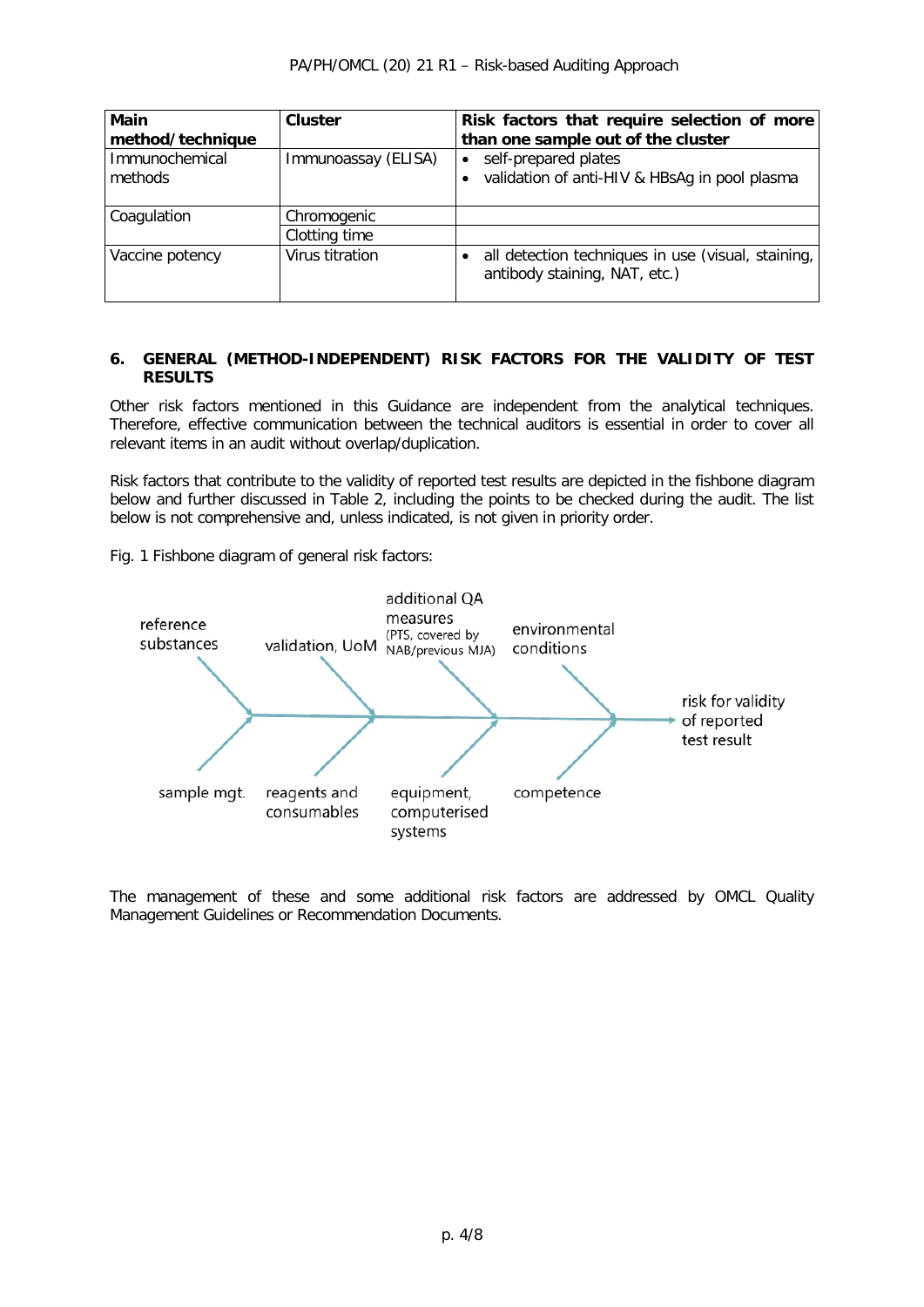| <b>Main</b>               | <b>Cluster</b>      | Risk factors that require selection of more                                           |
|---------------------------|---------------------|---------------------------------------------------------------------------------------|
| method/technique          |                     | than one sample out of the cluster                                                    |
| Immunochemical<br>methods | Immunoassay (ELISA) | • self-prepared plates<br>• validation of anti-HIV & HBsAg in pool plasma             |
| Coagulation               | Chromogenic         |                                                                                       |
|                           | Clotting time       |                                                                                       |
| Vaccine potency           | Virus titration     | · all detection techniques in use (visual, staining,<br>antibody staining, NAT, etc.) |

#### **6. GENERAL (METHOD-INDEPENDENT) RISK FACTORS FOR THE VALIDITY OF TEST RESULTS**

Other risk factors mentioned in this Guidance are independent from the analytical techniques. Therefore, effective communication between the technical auditors is essential in order to cover all relevant items in an audit without overlap/duplication.

Risk factors that contribute to the validity of reported test results are depicted in the fishbone diagram below and further discussed in Table 2, including the points to be checked during the audit. The list below is not comprehensive and, unless indicated, is not given in priority order.

Fig. 1 Fishbone diagram of general risk factors:



The management of these and some additional risk factors are addressed by OMCL Quality Management Guidelines or Recommendation Documents.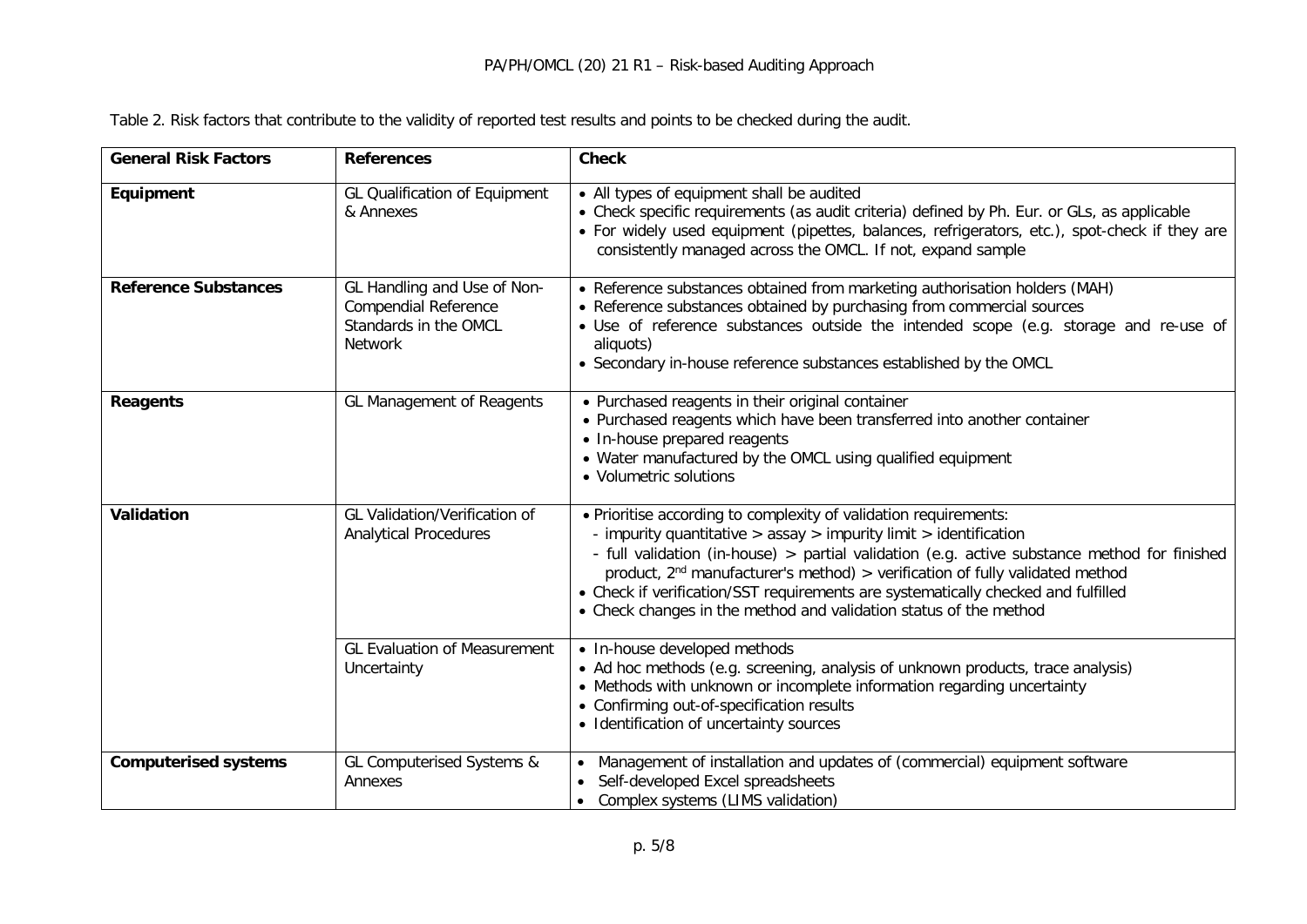|  | Table 2. Risk factors that contribute to the validity of reported test results and points to be checked during the audit. |
|--|---------------------------------------------------------------------------------------------------------------------------|
|--|---------------------------------------------------------------------------------------------------------------------------|

| <b>General Risk Factors</b> | <b>References</b>                                                                                     | <b>Check</b>                                                                                                                                                                                                                                                                                                                                                                                                                                                                            |
|-----------------------------|-------------------------------------------------------------------------------------------------------|-----------------------------------------------------------------------------------------------------------------------------------------------------------------------------------------------------------------------------------------------------------------------------------------------------------------------------------------------------------------------------------------------------------------------------------------------------------------------------------------|
| Equipment                   | <b>GL Qualification of Equipment</b><br>& Annexes                                                     | • All types of equipment shall be audited<br>• Check specific requirements (as audit criteria) defined by Ph. Eur. or GLs, as applicable<br>• For widely used equipment (pipettes, balances, refrigerators, etc.), spot-check if they are<br>consistently managed across the OMCL. If not, expand sample                                                                                                                                                                                |
| <b>Reference Substances</b> | GL Handling and Use of Non-<br><b>Compendial Reference</b><br>Standards in the OMCL<br><b>Network</b> | • Reference substances obtained from marketing authorisation holders (MAH)<br>• Reference substances obtained by purchasing from commercial sources<br>• Use of reference substances outside the intended scope (e.g. storage and re-use of<br>aliquots)<br>• Secondary in-house reference substances established by the OMCL                                                                                                                                                           |
| <b>Reagents</b>             | <b>GL Management of Reagents</b>                                                                      | • Purchased reagents in their original container<br>• Purchased reagents which have been transferred into another container<br>• In-house prepared reagents<br>• Water manufactured by the OMCL using qualified equipment<br>• Volumetric solutions                                                                                                                                                                                                                                     |
| Validation                  | GL Validation/Verification of<br><b>Analytical Procedures</b>                                         | . Prioritise according to complexity of validation requirements:<br>- impurity quantitative $>$ assay $>$ impurity limit $>$ identification<br>- full validation (in-house) > partial validation (e.g. active substance method for finished<br>product, $2nd$ manufacturer's method) > verification of fully validated method<br>• Check if verification/SST requirements are systematically checked and fulfilled<br>• Check changes in the method and validation status of the method |
|                             | <b>GL Evaluation of Measurement</b><br>Uncertainty                                                    | • In-house developed methods<br>• Ad hoc methods (e.g. screening, analysis of unknown products, trace analysis)<br>• Methods with unknown or incomplete information regarding uncertainty<br>• Confirming out-of-specification results<br>• Identification of uncertainty sources                                                                                                                                                                                                       |
| <b>Computerised systems</b> | GL Computerised Systems &<br>Annexes                                                                  | Management of installation and updates of (commercial) equipment software<br>Self-developed Excel spreadsheets<br>• Complex systems (LIMS validation)                                                                                                                                                                                                                                                                                                                                   |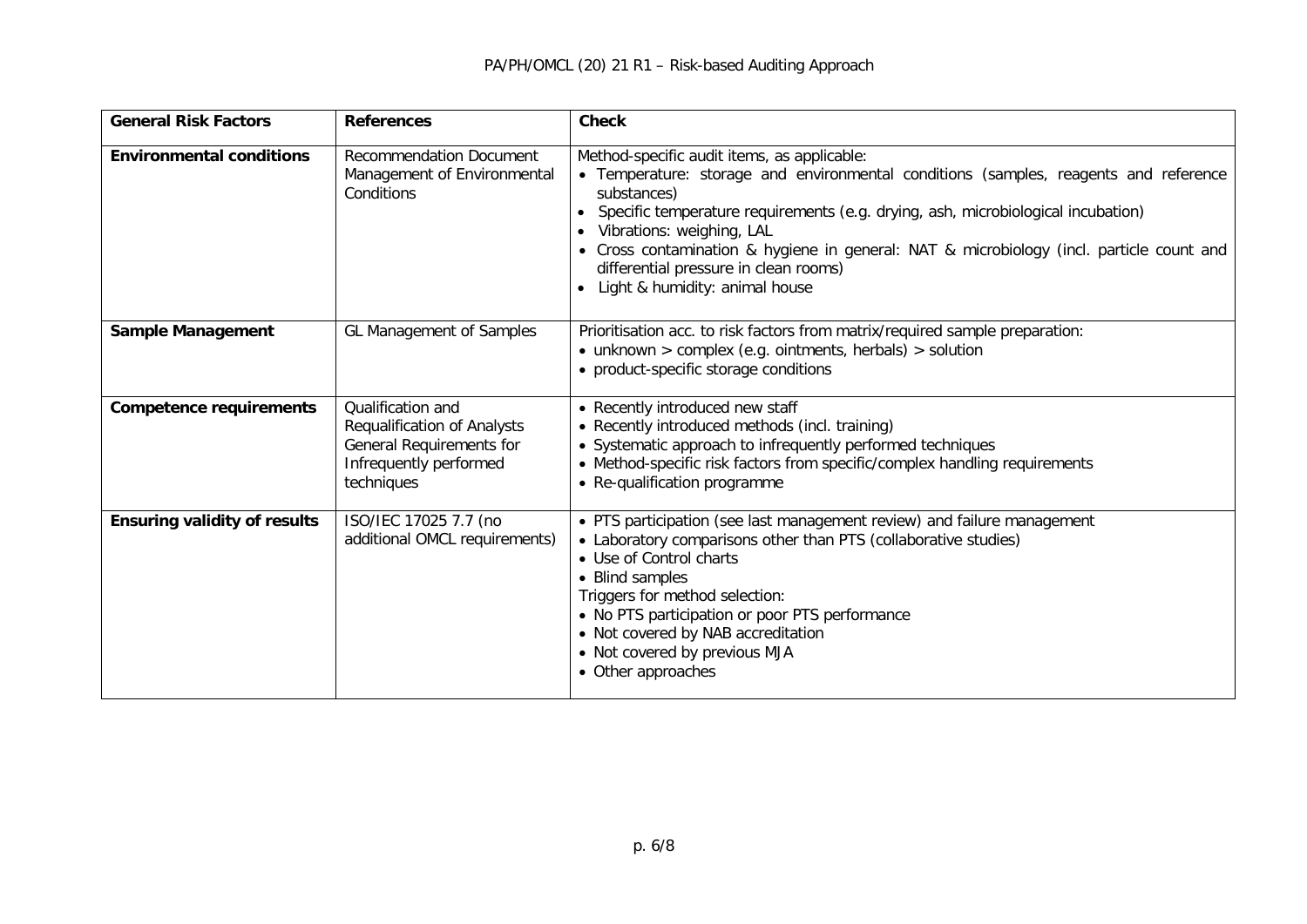| <b>General Risk Factors</b>         | <b>References</b>                                                                                                           | <b>Check</b>                                                                                                                                                                                                                                                                                                                                                                                                                                              |
|-------------------------------------|-----------------------------------------------------------------------------------------------------------------------------|-----------------------------------------------------------------------------------------------------------------------------------------------------------------------------------------------------------------------------------------------------------------------------------------------------------------------------------------------------------------------------------------------------------------------------------------------------------|
| <b>Environmental conditions</b>     | <b>Recommendation Document</b><br>Management of Environmental<br>Conditions                                                 | Method-specific audit items, as applicable:<br>• Temperature: storage and environmental conditions (samples, reagents and reference<br>substances)<br>Specific temperature requirements (e.g. drying, ash, microbiological incubation)<br>$\bullet$<br>Vibrations: weighing, LAL<br>• Cross contamination & hygiene in general: NAT & microbiology (incl. particle count and<br>differential pressure in clean rooms)<br>• Light & humidity: animal house |
| <b>Sample Management</b>            | GL Management of Samples                                                                                                    | Prioritisation acc. to risk factors from matrix/required sample preparation:<br>$\bullet$ unknown > complex (e.g. ointments, herbals) > solution<br>• product-specific storage conditions                                                                                                                                                                                                                                                                 |
| <b>Competence requirements</b>      | Qualification and<br><b>Requalification of Analysts</b><br>General Requirements for<br>Infrequently performed<br>techniques | • Recently introduced new staff<br>• Recently introduced methods (incl. training)<br>• Systematic approach to infrequently performed techniques<br>• Method-specific risk factors from specific/complex handling requirements<br>• Re-qualification programme                                                                                                                                                                                             |
| <b>Ensuring validity of results</b> | ISO/IEC 17025 7.7 (no<br>additional OMCL requirements)                                                                      | • PTS participation (see last management review) and failure management<br>• Laboratory comparisons other than PTS (collaborative studies)<br>• Use of Control charts<br>• Blind samples<br>Triggers for method selection:<br>• No PTS participation or poor PTS performance<br>• Not covered by NAB accreditation<br>• Not covered by previous MJA<br>• Other approaches                                                                                 |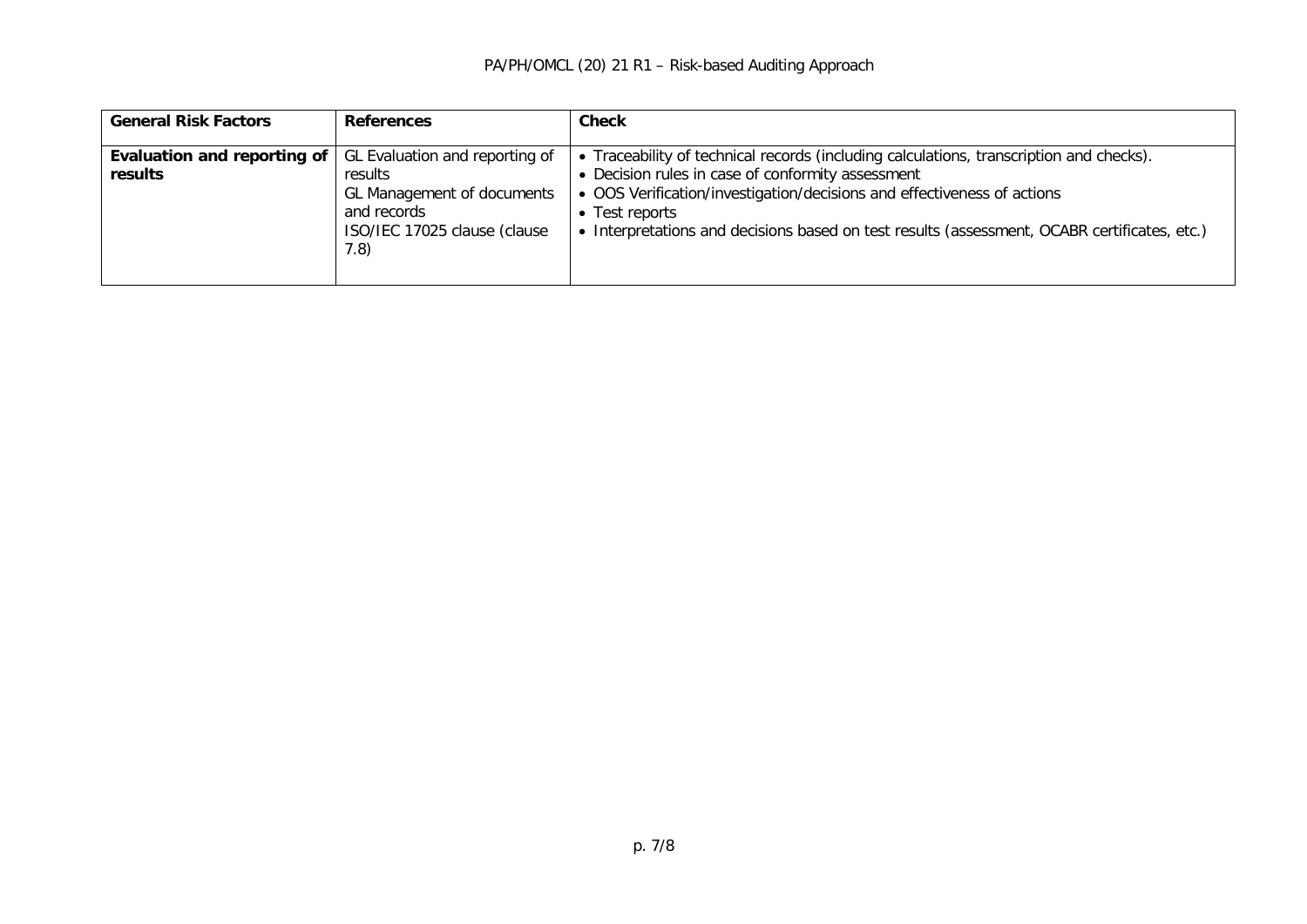| <b>General Risk Factors</b>            | <b>References</b>                                                                                                              | <b>Check</b>                                                                                                                                                                                                                                                                                                                            |
|----------------------------------------|--------------------------------------------------------------------------------------------------------------------------------|-----------------------------------------------------------------------------------------------------------------------------------------------------------------------------------------------------------------------------------------------------------------------------------------------------------------------------------------|
| Evaluation and reporting of<br>results | GL Evaluation and reporting of<br>results<br>GL Management of documents<br>and records<br>ISO/IEC 17025 clause (clause<br>7.8) | Traceability of technical records (including calculations, transcription and checks).<br>• Decision rules in case of conformity assessment<br>• OOS Verification/investigation/decisions and effectiveness of actions<br>• Test reports<br>• Interpretations and decisions based on test results (assessment, OCABR certificates, etc.) |